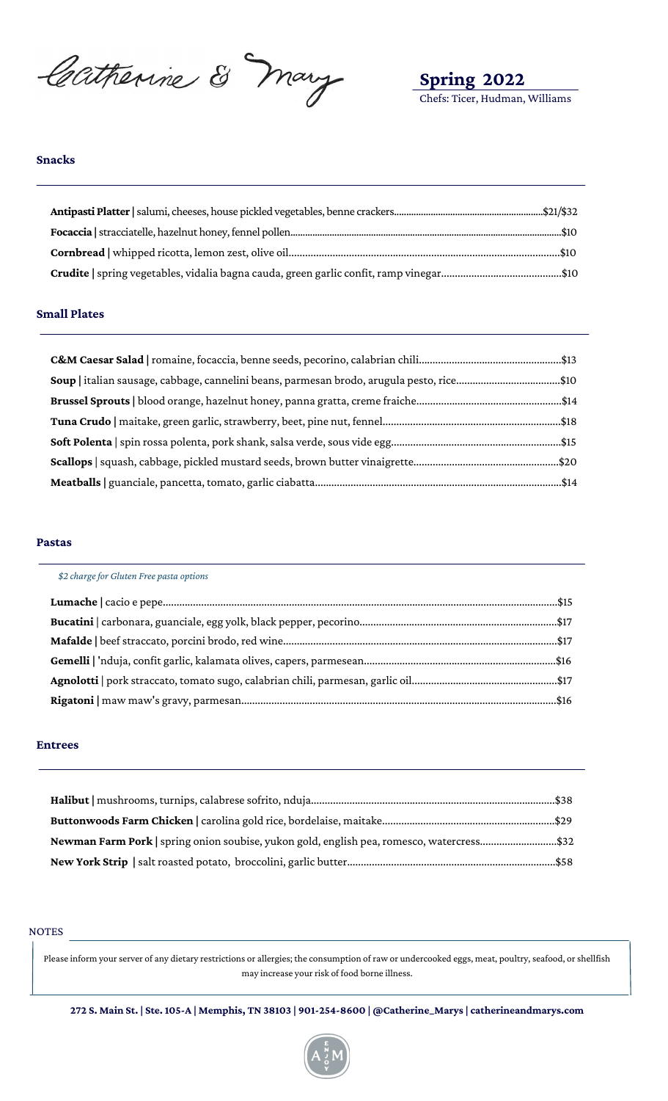Catherine & Mary

**Spring 2022** Chefs: Ticer, Hudman, Williams

# **Snacks**

#### **Small Plates**

| Soup   italian sausage, cabbage, cannelini beans, parmesan brodo, arugula pesto, rice\$10 |  |
|-------------------------------------------------------------------------------------------|--|
|                                                                                           |  |
|                                                                                           |  |
|                                                                                           |  |
|                                                                                           |  |
|                                                                                           |  |

#### **Pastas**

| \$2 charge for Gluten Free pasta options |  |
|------------------------------------------|--|
|                                          |  |
|                                          |  |
|                                          |  |
|                                          |  |
|                                          |  |
|                                          |  |

#### **Entrees**

| Newman Farm Pork   spring onion soubise, yukon gold, english pea, romesco, watercress\$32 |  |
|-------------------------------------------------------------------------------------------|--|
|                                                                                           |  |

#### NOTES

Please inform your server of any dietary restrictions or allergies; the consumption of raw or undercooked eggs, meat, poultry, seafood, or shellfish may increase your risk of food borne illness.

272 S. Main St. | Ste. 105-A | Memphis, TN 38103 | 901-254-8600 | @Catherine\_Marys | catherine<br/>andmarys.com